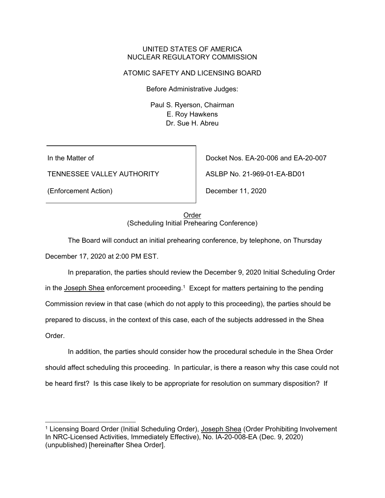#### UNITED STATES OF AMERICA NUCLEAR REGULATORY COMMISSION

## ATOMIC SAFETY AND LICENSING BOARD

Before Administrative Judges:

Paul S. Ryerson, Chairman E. Roy Hawkens Dr. Sue H. Abreu

In the Matter of

TENNESSEE VALLEY AUTHORITY

(Enforcement Action)

Docket Nos. EA-20-006 and EA-20-007

ASLBP No. 21-969-01-EA-BD01

December 11, 2020

Order (Scheduling Initial Prehearing Conference)

 The Board will conduct an initial prehearing conference, by telephone, on Thursday December 17, 2020 at 2:00 PM EST.

 In preparation, the parties should review the December 9, 2020 Initial Scheduling Order in the Joseph Shea enforcement proceeding.1 Except for matters pertaining to the pending Commission review in that case (which do not apply to this proceeding), the parties should be prepared to discuss, in the context of this case, each of the subjects addressed in the Shea Order.

 In addition, the parties should consider how the procedural schedule in the Shea Order should affect scheduling this proceeding. In particular, is there a reason why this case could not be heard first? Is this case likely to be appropriate for resolution on summary disposition? If

<sup>&</sup>lt;sup>1</sup> Licensing Board Order (Initial Scheduling Order), Joseph Shea (Order Prohibiting Involvement In NRC-Licensed Activities, Immediately Effective), No. IA-20-008-EA (Dec. 9, 2020) (unpublished) [hereinafter Shea Order].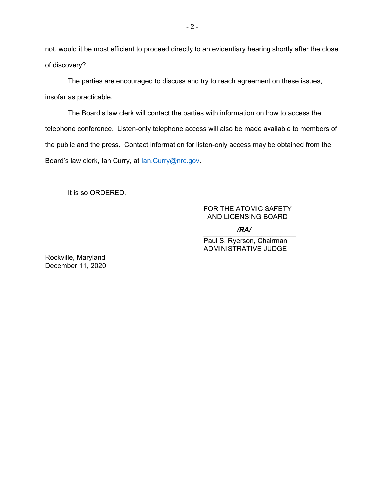not, would it be most efficient to proceed directly to an evidentiary hearing shortly after the close of discovery?

The parties are encouraged to discuss and try to reach agreement on these issues, insofar as practicable.

The Board's law clerk will contact the parties with information on how to access the telephone conference. Listen-only telephone access will also be made available to members of the public and the press. Contact information for listen-only access may be obtained from the Board's law clerk, Ian Curry, at **Ian.Curry@nrc.gov.** 

It is so ORDERED.

### FOR THE ATOMIC SAFETY AND LICENSING BOARD

 $\sqrt{K}$ */RA/*

Paul S. Ryerson, Chairman ADMINISTRATIVE JUDGE

Rockville, Maryland December 11, 2020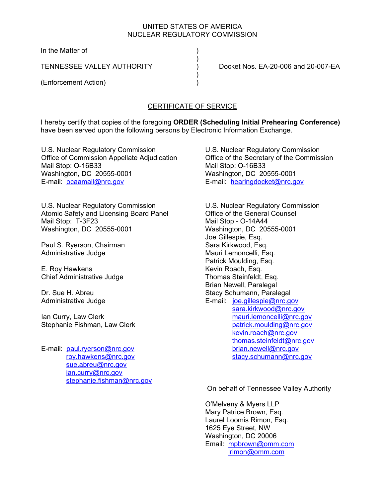## UNITED STATES OF AMERICA NUCLEAR REGULATORY COMMISSION

In the Matter of )

 $)$ 

 $)$ 

(Enforcement Action) )

TENNESSEE VALLEY AUTHORITY ) Docket Nos. EA-20-006 and 20-007-EA

# CERTIFICATE OF SERVICE

I hereby certify that copies of the foregoing **ORDER (Scheduling Initial Prehearing Conference)**  have been served upon the following persons by Electronic Information Exchange.

U.S. Nuclear Regulatory Commission Office of Commission Appellate Adjudication Mail Stop: O-16B33 Washington, DC 20555-0001 E-mail: ocaamail@nrc.gov

U.S. Nuclear Regulatory Commission Atomic Safety and Licensing Board Panel Mail Stop: T-3F23 Washington, DC 20555-0001

Paul S. Ryerson, Chairman Administrative Judge

E. Roy Hawkens Chief Administrative Judge

Dr. Sue H. Abreu Administrative Judge

Ian Curry, Law Clerk Stephanie Fishman, Law Clerk

E-mail: paul.ryerson@nrc.gov roy.hawkens@nrc.gov sue.abreu@nrc.gov ian.curry@nrc.gov stephanie.fishman@nrc.gov U.S. Nuclear Regulatory Commission Office of the Secretary of the Commission Mail Stop: O-16B33 Washington, DC 20555-0001 E-mail: hearingdocket@nrc.gov

U.S. Nuclear Regulatory Commission Office of the General Counsel Mail Stop - O-14A44 Washington, DC 20555-0001 Joe Gillespie, Esq. Sara Kirkwood, Esq. Mauri Lemoncelli, Esq. Patrick Moulding, Esq. Kevin Roach, Esq. Thomas Steinfeldt, Esq. Brian Newell, Paralegal Stacy Schumann, Paralegal E-mail: joe.gillespie@nrc.gov sara.kirkwood@nrc.gov mauri.lemoncelli@nrc.gov patrick.moulding@nrc.gov kevin.roach@nrc.gov thomas.steinfeldt@nrc.gov brian.newell@nrc.gov stacy.schumann@nrc.gov

On behalf of Tennessee Valley Authority

O'Melveny & Myers LLP Mary Patrice Brown, Esq. Laurel Loomis Rimon, Esq. 1625 Eye Street, NW Washington, DC 20006 Email: mpbrown@omm.com lrimon@omm.com